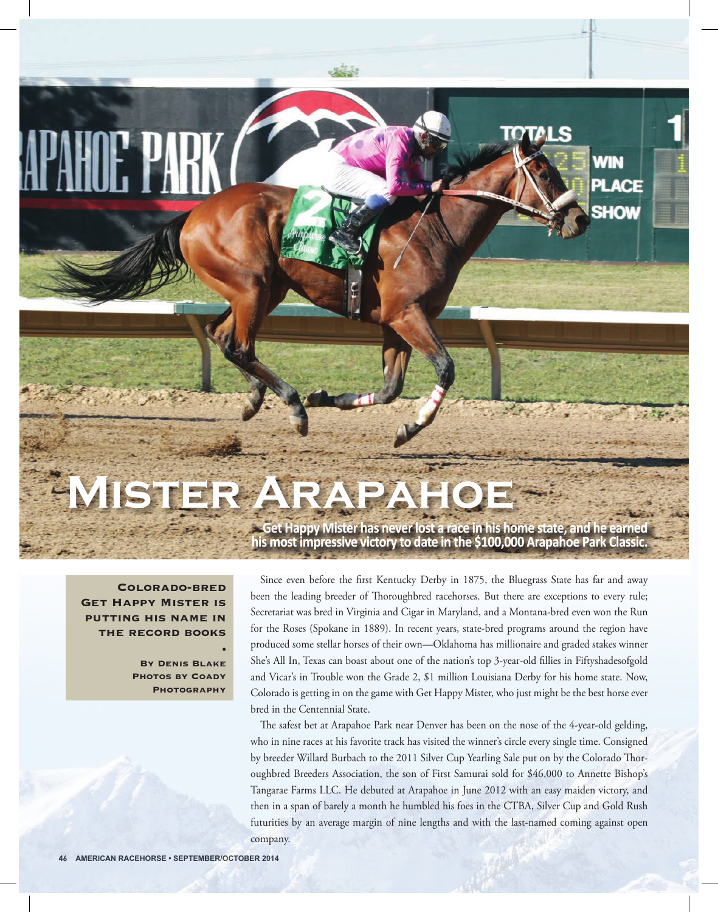## **Mister Arapahoe**

**Colorado-bred Get Happy Mister is putting his name in the record books**

> **By Denis Blake Photos by Coady Photography**

**•**

**Get Happy Mister has never lost a race in his home state, and he earned his most impressive victory to date in the \$100,000 Arapahoe Park Classic.** 

**SHOW** 

Since even before the first Kentucky Derby in 1875, the Bluegrass State has far and away been the leading breeder of Thoroughbred racehorses. But there are exceptions to every rule; Secretariat was bred in Virginia and Cigar in Maryland, and a Montana-bred even won the Run for the Roses (Spokane in 1889). In recent years, state-bred programs around the region have produced some stellar horses of their own—Oklahoma has millionaire and graded stakes winner She's All In, Texas can boast about one of the nation's top 3-year-old fillies in Fiftyshadesofgold and Vicar's in Trouble won the Grade 2, \$1 million Louisiana Derby for his home state. Now, Colorado is getting in on the game with Get Happy Mister, who just might be the best horse ever bred in the Centennial State.

The safest bet at Arapahoe Park near Denver has been on the nose of the 4-year-old gelding, who in nine races at his favorite track has visited the winner's circle every single time. Consigned by breeder Willard Burbach to the 2011 Silver Cup Yearling Sale put on by the Colorado Thoroughbred Breeders Association, the son of First Samurai sold for \$46,000 to Annette Bishop's Tangarae Farms LLC. He debuted at Arapahoe in June 2012 with an easy maiden victory, and then in a span of barely a month he humbled his foes in the CTBA, Silver Cup and Gold Rush futurities by an average margin of nine lengths and with the last-named coming against open company.